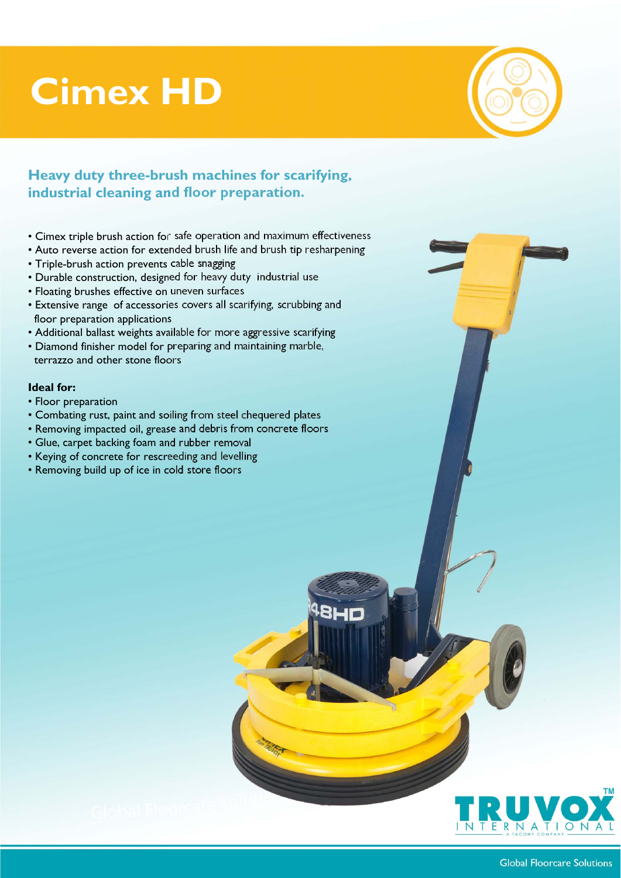# **Cimex HD**



## **Heavy duty three-brush machines for scarifying, industrial cleaning and floor preparation.**

- Cimex triple brush action for safe operation and maximum effectiveness
- Auto reverse action for extended brush life and brush tip resharpening
- Triple-brush action prevents cable snagging
- Durable construction, designed for heavy duty industrial use
- Floating brushes effective on uneven surfaces
- Extensive range of accessories covers all scarifying, scrubbing and floor preparation applications
- Additional ballast weights available for more aggressive scarifying
- Diamond finisher model for preparing and maintaining marble, terrazzo and other stone floors

#### **Ideal for:**

- Floor preparation
- Combating rust, paint and soiling from steel chequered plates
- Removing impacted oil, grease and debris from concrete floors

**BLIM** 

- Glue, carpet backing foam and rubber removal
- Keying of concrete for rescreeding and levelling
- Removing build up of ice in cold store floors